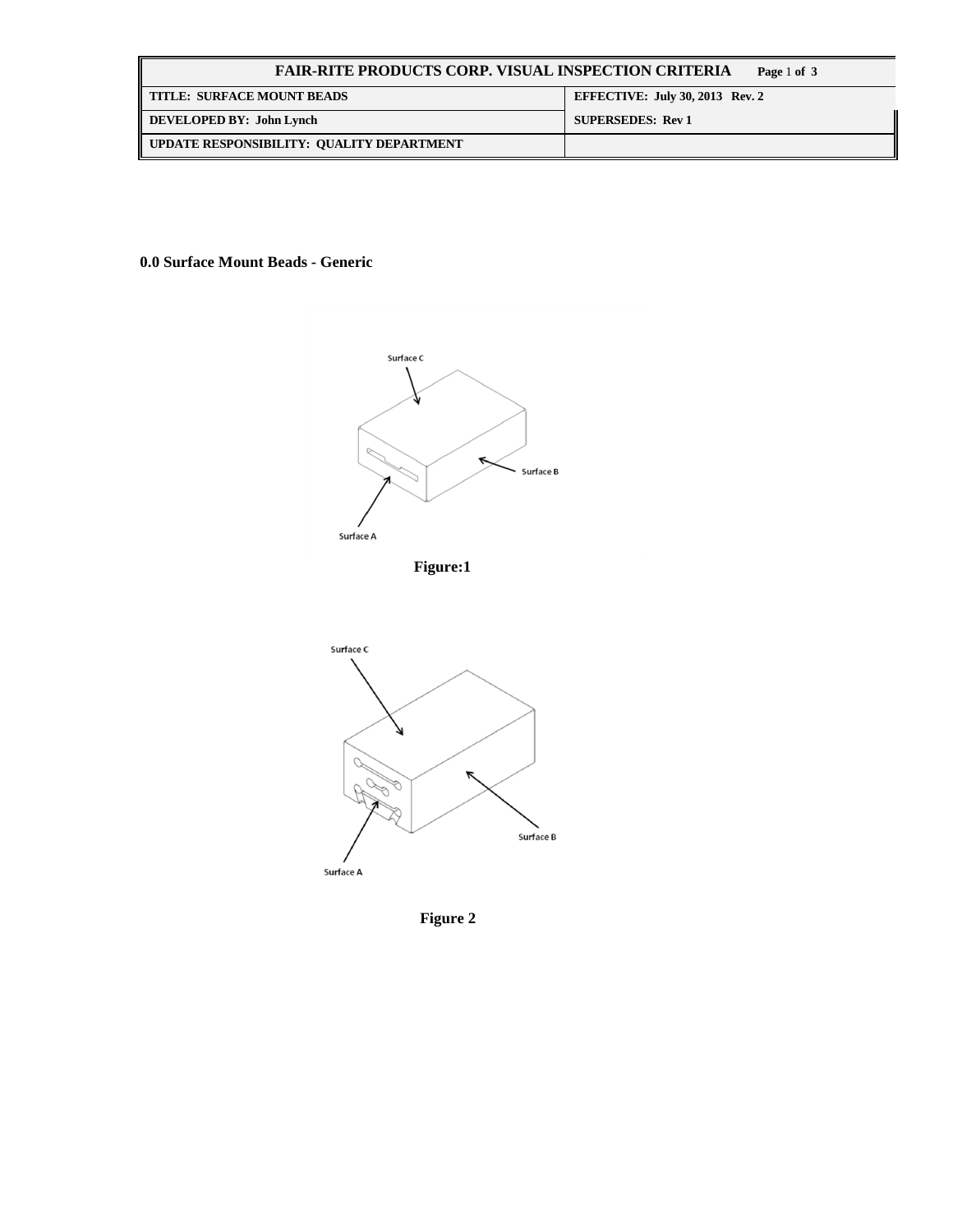| <b>FAIR-RITE PRODUCTS CORP. VISUAL INSPECTION CRITERIA</b><br>Page 1 of 3 |                                 |  |
|---------------------------------------------------------------------------|---------------------------------|--|
| <b>TITLE: SURFACE MOUNT BEADS</b>                                         | EFFECTIVE: July 30, 2013 Rev. 2 |  |
| DEVELOPED BY: John Lynch                                                  | <b>SUPERSEDES: Rev 1</b>        |  |
| UPDATE RESPONSIBILITY: QUALITY DEPARTMENT                                 |                                 |  |

**0.0 Surface Mount Beads - Generic** 



**Figure 2**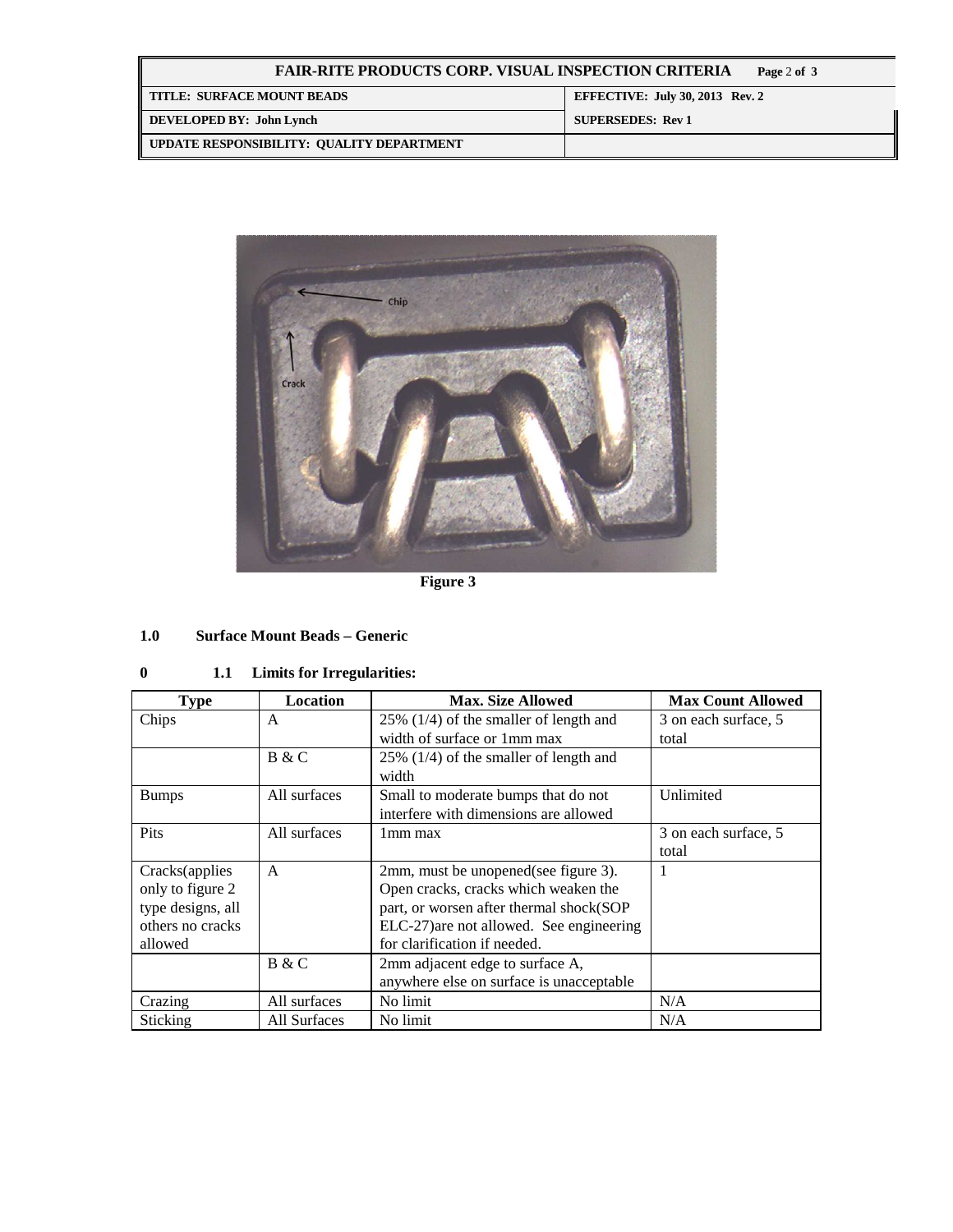| <b>FAIR-RITE PRODUCTS CORP. VISUAL INSPECTION CRITERIA</b><br>Page 2 of 3 |                                        |  |
|---------------------------------------------------------------------------|----------------------------------------|--|
| TITLE: SURFACE MOUNT BEADS                                                | <b>EFFECTIVE: July 30, 2013 Rev. 2</b> |  |
| DEVELOPED BY: John Lynch                                                  | <b>SUPERSEDES: Rev 1</b>               |  |
| UPDATE RESPONSIBILITY: QUALITY DEPARTMENT                                 |                                        |  |



**Figure 3** 

#### $1.0$ **1.0 Surface Mount Beads – Generic**

# **0 1.1 Limits for Irregularities:**

| <b>Type</b>       | Location     | <b>Max. Size Allowed</b>                         | <b>Max Count Allowed</b> |
|-------------------|--------------|--------------------------------------------------|--------------------------|
| Chips             | A            | $25\%$ (1/4) of the smaller of length and        | 3 on each surface, 5     |
|                   |              | width of surface or 1mm max                      | total                    |
|                   | B & C        | $25\%$ (1/4) of the smaller of length and        |                          |
|                   |              | width                                            |                          |
| <b>Bumps</b>      | All surfaces | Unlimited<br>Small to moderate bumps that do not |                          |
|                   |              | interfere with dimensions are allowed            |                          |
| Pits              | All surfaces | 1 <sub>mm</sub> max                              | 3 on each surface, 5     |
|                   |              |                                                  | total                    |
| Cracks(applies    | $\mathsf{A}$ | 2mm, must be unopened (see figure 3).            | 1                        |
| only to figure 2  |              | Open cracks, cracks which weaken the             |                          |
| type designs, all |              | part, or worsen after thermal shock(SOP          |                          |
| others no cracks  |              | ELC-27) are not allowed. See engineering         |                          |
| allowed           |              | for clarification if needed.                     |                          |
|                   | B & C        | 2mm adjacent edge to surface A,                  |                          |
|                   |              | anywhere else on surface is unacceptable         |                          |
| Crazing           | All surfaces | No limit                                         | N/A                      |
| Sticking          | All Surfaces | No limit                                         | N/A                      |